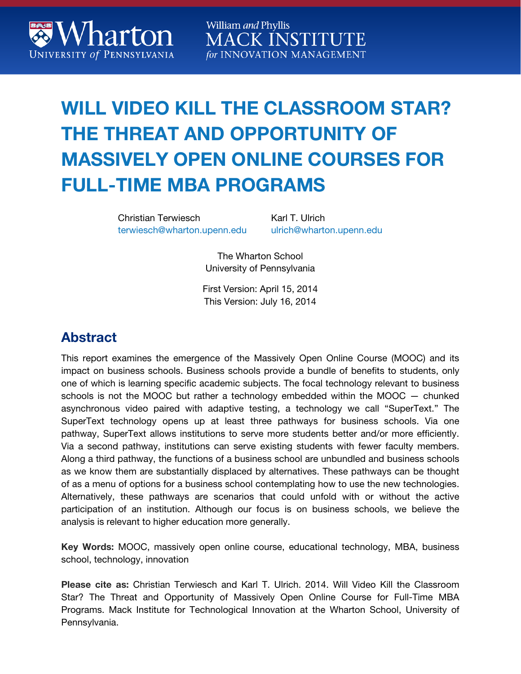

William and Phyllis **MACK INSTITUTE** for INNOVATION MANAGEMENT

# WILL VIDEO KILL THE CLASSROOM STAR? THE THREAT AND OPPORTUNITY OF MASSIVELY OPEN ONLINE COURSES FOR FULL-TIME MBA PROGRAMS

Christian Terwiesch terwiesch@wharton.upenn.edu

Karl T. Ulrich ulrich@wharton.upenn.edu

The Wharton School University of Pennsylvania

First Version: April 15, 2014 This Version: July 16, 2014

# Abstract

This report examines the emergence of the Massively Open Online Course (MOOC) and its impact on business schools. Business schools provide a bundle of benefits to students, only one of which is learning specific academic subjects. The focal technology relevant to business schools is not the MOOC but rather a technology embedded within the MOOC — chunked asynchronous video paired with adaptive testing, a technology we call "SuperText." The SuperText technology opens up at least three pathways for business schools. Via one pathway, SuperText allows institutions to serve more students better and/or more efficiently. Via a second pathway, institutions can serve existing students with fewer faculty members. Along a third pathway, the functions of a business school are unbundled and business schools as we know them are substantially displaced by alternatives. These pathways can be thought of as a menu of options for a business school contemplating how to use the new technologies. Alternatively, these pathways are scenarios that could unfold with or without the active participation of an institution. Although our focus is on business schools, we believe the analysis is relevant to higher education more generally.

Key Words: MOOC, massively open online course, educational technology, MBA, business school, technology, innovation

Please cite as: Christian Terwiesch and Karl T. Ulrich. 2014. Will Video Kill the Classroom Star? The Threat and Opportunity of Massively Open Online Course for Full-Time MBA Programs. Mack Institute for Technological Innovation at the Wharton School, University of Pennsylvania.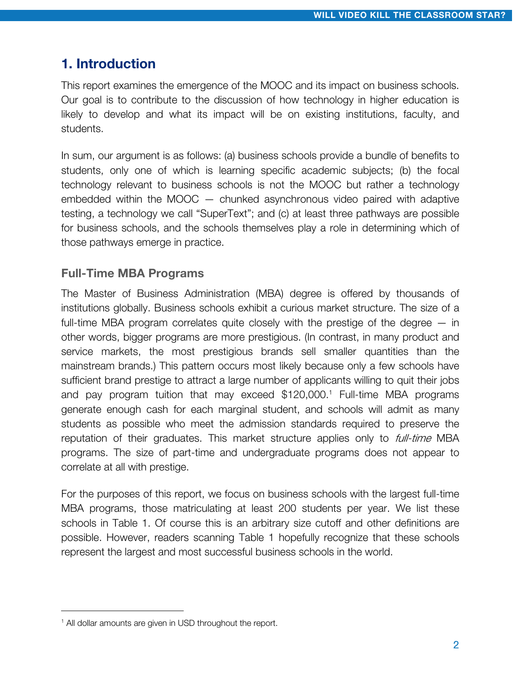# 1. Introduction

This report examines the emergence of the MOOC and its impact on business schools. Our goal is to contribute to the discussion of how technology in higher education is likely to develop and what its impact will be on existing institutions, faculty, and students.

In sum, our argument is as follows: (a) business schools provide a bundle of benefits to students, only one of which is learning specific academic subjects; (b) the focal technology relevant to business schools is not the MOOC but rather a technology embedded within the MOOC — chunked asynchronous video paired with adaptive testing, a technology we call "SuperText"; and (c) at least three pathways are possible for business schools, and the schools themselves play a role in determining which of those pathways emerge in practice.

# Full-Time MBA Programs

The Master of Business Administration (MBA) degree is offered by thousands of institutions globally. Business schools exhibit a curious market structure. The size of a full-time MBA program correlates quite closely with the prestige of the degree — in other words, bigger programs are more prestigious. (In contrast, in many product and service markets, the most prestigious brands sell smaller quantities than the mainstream brands.) This pattern occurs most likely because only a few schools have sufficient brand prestige to attract a large number of applicants willing to quit their jobs and pay program tuition that may exceed \$120,000.<sup>1</sup> Full-time MBA programs generate enough cash for each marginal student, and schools will admit as many students as possible who meet the admission standards required to preserve the reputation of their graduates. This market structure applies only to *full-time* MBA programs. The size of part-time and undergraduate programs does not appear to correlate at all with prestige.

For the purposes of this report, we focus on business schools with the largest full-time MBA programs, those matriculating at least 200 students per year. We list these schools in Table 1. Of course this is an arbitrary size cutoff and other definitions are possible. However, readers scanning Table 1 hopefully recognize that these schools represent the largest and most successful business schools in the world.

 $\overline{a}$ 

<sup>&</sup>lt;sup>1</sup> All dollar amounts are given in USD throughout the report.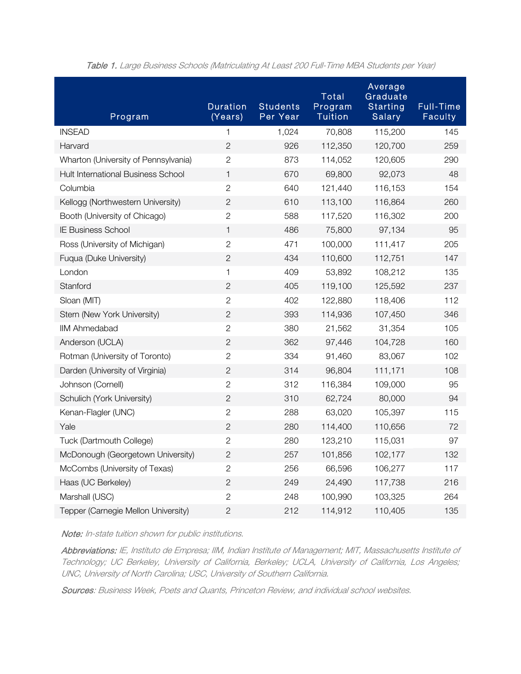| Program                              | <b>Duration</b><br>(Years) | <b>Students</b><br>Per Year | Total<br>Program<br><b>Tuition</b> | Average<br>Graduate<br><b>Starting</b><br><b>Salary</b> | <b>Full-Time</b><br>Faculty |
|--------------------------------------|----------------------------|-----------------------------|------------------------------------|---------------------------------------------------------|-----------------------------|
| <b>INSEAD</b>                        | 1                          | 1,024                       | 70,808                             | 115,200                                                 | 145                         |
| Harvard                              | $\mathbf{2}$               | 926                         | 112,350                            | 120,700                                                 | 259                         |
| Wharton (University of Pennsylvania) | $\overline{2}$             | 873                         | 114,052                            | 120,605                                                 | 290                         |
| Hult International Business School   | $\mathbf{1}$               | 670                         | 69,800                             | 92,073                                                  | 48                          |
| Columbia                             | $\mathbf{2}$               | 640                         | 121,440                            | 116,153                                                 | 154                         |
| Kellogg (Northwestern University)    | $\overline{2}$             | 610                         | 113,100                            | 116,864                                                 | 260                         |
| Booth (University of Chicago)        | $\overline{2}$             | 588                         | 117,520                            | 116,302                                                 | 200                         |
| <b>IE Business School</b>            | $\mathbf{1}$               | 486                         | 75,800                             | 97,134                                                  | 95                          |
| Ross (University of Michigan)        | $\overline{2}$             | 471                         | 100,000                            | 111,417                                                 | 205                         |
| Fuqua (Duke University)              | $\sqrt{2}$                 | 434                         | 110,600                            | 112,751                                                 | 147                         |
| London                               | $\mathbf{1}$               | 409                         | 53,892                             | 108,212                                                 | 135                         |
| Stanford                             | $\overline{2}$             | 405                         | 119,100                            | 125,592                                                 | 237                         |
| Sloan (MIT)                          | $\mathbf{2}$               | 402                         | 122,880                            | 118,406                                                 | 112                         |
| Stern (New York University)          | $\mathbf{2}$               | 393                         | 114,936                            | 107,450                                                 | 346                         |
| <b>IIM Ahmedabad</b>                 | $\overline{2}$             | 380                         | 21,562                             | 31,354                                                  | 105                         |
| Anderson (UCLA)                      | $\sqrt{2}$                 | 362                         | 97,446                             | 104,728                                                 | 160                         |
| Rotman (University of Toronto)       | $\overline{c}$             | 334                         | 91,460                             | 83,067                                                  | 102                         |
| Darden (University of Virginia)      | $\mathbf{2}$               | 314                         | 96,804                             | 111,171                                                 | 108                         |
| Johnson (Cornell)                    | $\mathbf{2}$               | 312                         | 116,384                            | 109,000                                                 | 95                          |
| Schulich (York University)           | $\mathbf{2}$               | 310                         | 62,724                             | 80,000                                                  | 94                          |
| Kenan-Flagler (UNC)                  | $\overline{2}$             | 288                         | 63,020                             | 105,397                                                 | 115                         |
| Yale                                 | $\mathbf{2}$               | 280                         | 114,400                            | 110,656                                                 | 72                          |
| Tuck (Dartmouth College)             | $\overline{2}$             | 280                         | 123,210                            | 115,031                                                 | 97                          |
| McDonough (Georgetown University)    | $\mathbf{2}$               | 257                         | 101,856                            | 102,177                                                 | 132                         |
| McCombs (University of Texas)        | $\mathbf{2}$               | 256                         | 66,596                             | 106,277                                                 | 117                         |
| Haas (UC Berkeley)                   | $\overline{2}$             | 249                         | 24,490                             | 117,738                                                 | 216                         |
| Marshall (USC)                       | $\overline{2}$             | 248                         | 100,990                            | 103,325                                                 | 264                         |
| Tepper (Carnegie Mellon University)  | $\overline{2}$             | 212                         | 114,912                            | 110,405                                                 | 135                         |

Table 1. Large Business Schools (Matriculating At Least 200 Full-Time MBA Students per Year)

Note: In-state tuition shown for public institutions.

Abbreviations: IE, Instituto de Empresa; IIM, Indian Institute of Management; MIT, Massachusetts Institute of Technology; UC Berkeley, University of California, Berkeley; UCLA, University of California, Los Angeles; UNC, University of North Carolina; USC, University of Southern California.

Sources: Business Week, Poets and Quants, Princeton Review, and individual school websites.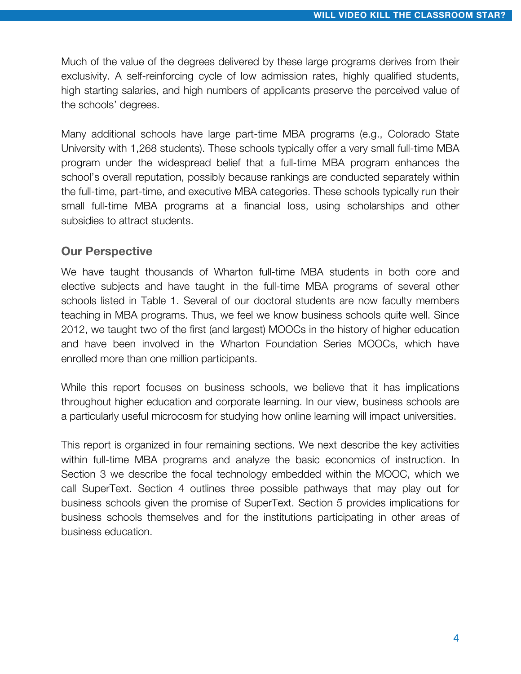Much of the value of the degrees delivered by these large programs derives from their exclusivity. A self-reinforcing cycle of low admission rates, highly qualified students, high starting salaries, and high numbers of applicants preserve the perceived value of the schools' degrees.

Many additional schools have large part-time MBA programs (e.g., Colorado State University with 1,268 students). These schools typically offer a very small full-time MBA program under the widespread belief that a full-time MBA program enhances the school's overall reputation, possibly because rankings are conducted separately within the full-time, part-time, and executive MBA categories. These schools typically run their small full-time MBA programs at a financial loss, using scholarships and other subsidies to attract students.

#### Our Perspective

We have taught thousands of Wharton full-time MBA students in both core and elective subjects and have taught in the full-time MBA programs of several other schools listed in Table 1. Several of our doctoral students are now faculty members teaching in MBA programs. Thus, we feel we know business schools quite well. Since 2012, we taught two of the first (and largest) MOOCs in the history of higher education and have been involved in the Wharton Foundation Series MOOCs, which have enrolled more than one million participants.

While this report focuses on business schools, we believe that it has implications throughout higher education and corporate learning. In our view, business schools are a particularly useful microcosm for studying how online learning will impact universities.

This report is organized in four remaining sections. We next describe the key activities within full-time MBA programs and analyze the basic economics of instruction. In Section 3 we describe the focal technology embedded within the MOOC, which we call SuperText. Section 4 outlines three possible pathways that may play out for business schools given the promise of SuperText. Section 5 provides implications for business schools themselves and for the institutions participating in other areas of business education.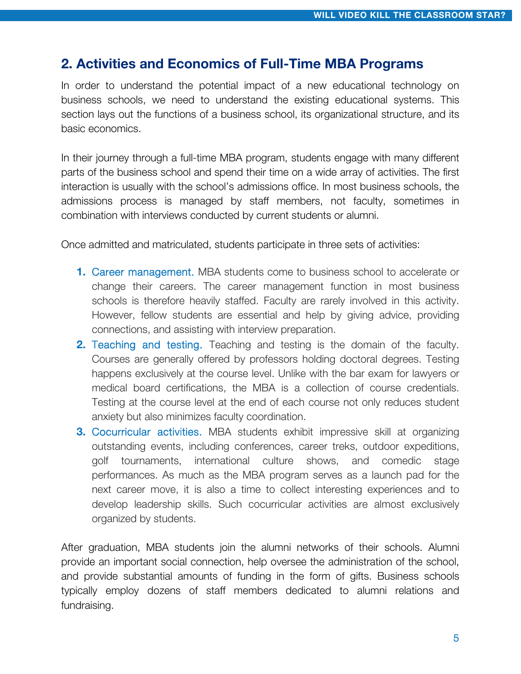# 2. Activities and Economics of Full-Time MBA Programs

In order to understand the potential impact of a new educational technology on business schools, we need to understand the existing educational systems. This section lays out the functions of a business school, its organizational structure, and its basic economics.

In their journey through a full-time MBA program, students engage with many different parts of the business school and spend their time on a wide array of activities. The first interaction is usually with the school's admissions office. In most business schools, the admissions process is managed by staff members, not faculty, sometimes in combination with interviews conducted by current students or alumni.

Once admitted and matriculated, students participate in three sets of activities:

- 1. Career management. MBA students come to business school to accelerate or change their careers. The career management function in most business schools is therefore heavily staffed. Faculty are rarely involved in this activity. However, fellow students are essential and help by giving advice, providing connections, and assisting with interview preparation.
- **2.** Teaching and testing. Teaching and testing is the domain of the faculty. Courses are generally offered by professors holding doctoral degrees. Testing happens exclusively at the course level. Unlike with the bar exam for lawyers or medical board certifications, the MBA is a collection of course credentials. Testing at the course level at the end of each course not only reduces student anxiety but also minimizes faculty coordination.
- **3. Cocurricular activities.** MBA students exhibit impressive skill at organizing outstanding events, including conferences, career treks, outdoor expeditions, golf tournaments, international culture shows, and comedic stage performances. As much as the MBA program serves as a launch pad for the next career move, it is also a time to collect interesting experiences and to develop leadership skills. Such cocurricular activities are almost exclusively organized by students.

After graduation, MBA students join the alumni networks of their schools. Alumni provide an important social connection, help oversee the administration of the school, and provide substantial amounts of funding in the form of gifts. Business schools typically employ dozens of staff members dedicated to alumni relations and fundraising.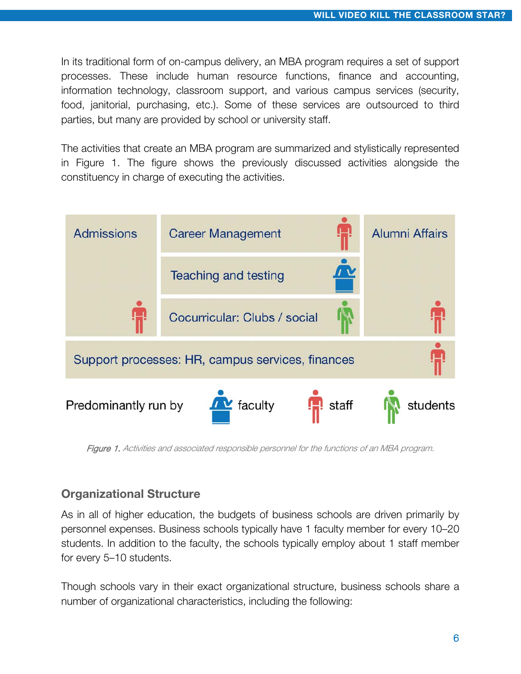In its traditional form of on-campus delivery, an MBA program requires a set of support processes. These include human resource functions, finance and accounting, information technology, classroom support, and various campus services (security, food, janitorial, purchasing, etc.). Some of these services are outsourced to third parties, but many are provided by school or university staff.

The activities that create an MBA program are summarized and stylistically represented in Figure 1. The figure shows the previously discussed activities alongside the constituency in charge of executing the activities.



Figure 1. Activities and associated responsible personnel for the functions of an MBA program.

# Organizational Structure

As in all of higher education, the budgets of business schools are driven primarily by personnel expenses. Business schools typically have 1 faculty member for every 10–20 students. In addition to the faculty, the schools typically employ about 1 staff member for every 5–10 students.

Though schools vary in their exact organizational structure, business schools share a number of organizational characteristics, including the following: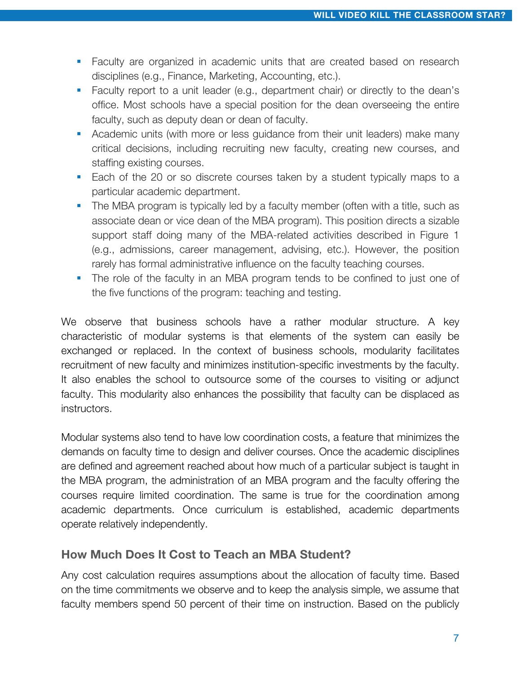- **Faculty are organized in academic units that are created based on research** disciplines (e.g., Finance, Marketing, Accounting, etc.).
- Faculty report to a unit leader (e.g., department chair) or directly to the dean's office. Most schools have a special position for the dean overseeing the entire faculty, such as deputy dean or dean of faculty.
- Academic units (with more or less guidance from their unit leaders) make many critical decisions, including recruiting new faculty, creating new courses, and staffing existing courses.
- **Each of the 20 or so discrete courses taken by a student typically maps to a** particular academic department.
- The MBA program is typically led by a faculty member (often with a title, such as associate dean or vice dean of the MBA program). This position directs a sizable support staff doing many of the MBA-related activities described in Figure 1 (e.g., admissions, career management, advising, etc.). However, the position rarely has formal administrative influence on the faculty teaching courses.
- The role of the faculty in an MBA program tends to be confined to just one of the five functions of the program: teaching and testing.

We observe that business schools have a rather modular structure. A key characteristic of modular systems is that elements of the system can easily be exchanged or replaced. In the context of business schools, modularity facilitates recruitment of new faculty and minimizes institution-specific investments by the faculty. It also enables the school to outsource some of the courses to visiting or adjunct faculty. This modularity also enhances the possibility that faculty can be displaced as instructors.

Modular systems also tend to have low coordination costs, a feature that minimizes the demands on faculty time to design and deliver courses. Once the academic disciplines are defined and agreement reached about how much of a particular subject is taught in the MBA program, the administration of an MBA program and the faculty offering the courses require limited coordination. The same is true for the coordination among academic departments. Once curriculum is established, academic departments operate relatively independently.

# How Much Does It Cost to Teach an MBA Student?

Any cost calculation requires assumptions about the allocation of faculty time. Based on the time commitments we observe and to keep the analysis simple, we assume that faculty members spend 50 percent of their time on instruction. Based on the publicly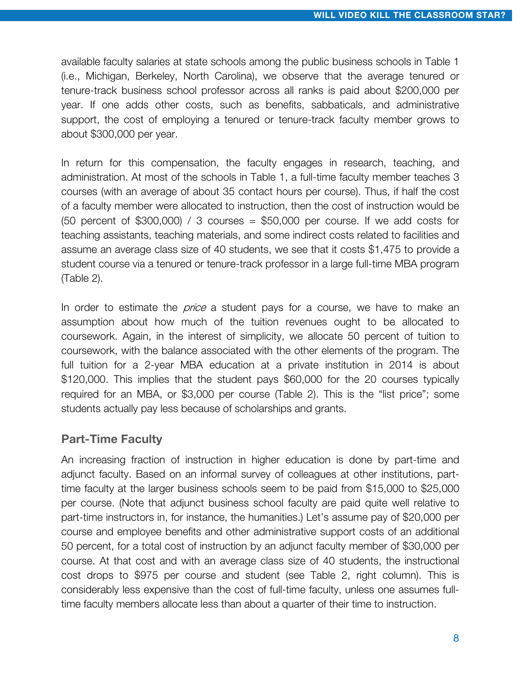available faculty salaries at state schools among the public business schools in Table 1 (i.e., Michigan, Berkeley, North Carolina), we observe that the average tenured or tenure-track business school professor across all ranks is paid about \$200,000 per year. If one adds other costs, such as benefits, sabbaticals, and administrative support, the cost of employing a tenured or tenure-track faculty member grows to about \$300,000 per year.

In return for this compensation, the faculty engages in research, teaching, and administration. At most of the schools in Table 1, a full-time faculty member teaches 3 courses (with an average of about 35 contact hours per course). Thus, if half the cost of a faculty member were allocated to instruction, then the cost of instruction would be (50 percent of \$300,000) / 3 courses = \$50,000 per course. If we add costs for teaching assistants, teaching materials, and some indirect costs related to facilities and assume an average class size of 40 students, we see that it costs \$1,475 to provide a student course via a tenured or tenure-track professor in a large full-time MBA program (Table 2).

In order to estimate the *price* a student pays for a course, we have to make an assumption about how much of the tuition revenues ought to be allocated to coursework. Again, in the interest of simplicity, we allocate 50 percent of tuition to coursework, with the balance associated with the other elements of the program. The full tuition for a 2-year MBA education at a private institution in 2014 is about \$120,000. This implies that the student pays \$60,000 for the 20 courses typically required for an MBA, or \$3,000 per course (Table 2). This is the "list price"; some students actually pay less because of scholarships and grants.

## Part-Time Faculty

An increasing fraction of instruction in higher education is done by part-time and adjunct faculty. Based on an informal survey of colleagues at other institutions, parttime faculty at the larger business schools seem to be paid from \$15,000 to \$25,000 per course. (Note that adjunct business school faculty are paid quite well relative to part-time instructors in, for instance, the humanities.) Let's assume pay of \$20,000 per course and employee benefits and other administrative support costs of an additional 50 percent, for a total cost of instruction by an adjunct faculty member of \$30,000 per course. At that cost and with an average class size of 40 students, the instructional cost drops to \$975 per course and student (see Table 2, right column). This is considerably less expensive than the cost of full-time faculty, unless one assumes fulltime faculty members allocate less than about a quarter of their time to instruction.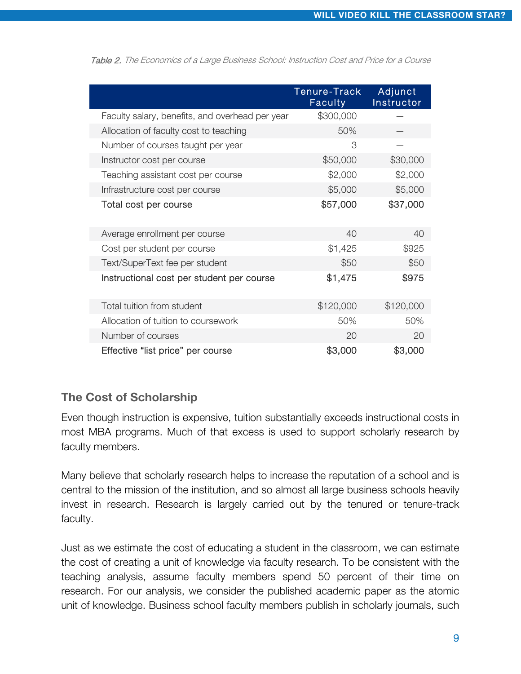|                                                 | Tenure-Track<br>Faculty | Adjunct<br>Instructor |
|-------------------------------------------------|-------------------------|-----------------------|
| Faculty salary, benefits, and overhead per year | \$300,000               |                       |
| Allocation of faculty cost to teaching          | 50%                     |                       |
| Number of courses taught per year               | 3                       |                       |
| Instructor cost per course                      | \$50,000                | \$30,000              |
| Teaching assistant cost per course              | \$2,000                 | \$2,000               |
| Infrastructure cost per course                  | \$5,000                 | \$5,000               |
| Total cost per course                           | \$57,000                | \$37,000              |
| Average enrollment per course                   | 40                      | 40                    |
| Cost per student per course                     | \$1,425                 | \$925                 |
| Text/SuperText fee per student                  | \$50                    | \$50                  |
| Instructional cost per student per course       | \$1,475                 | \$975                 |
| Total tuition from student                      | \$120,000               | \$120,000             |
| Allocation of tuition to coursework             | 50%                     | 50%                   |
| Number of courses                               | 20                      | 20                    |
| Effective "list price" per course               | \$3,000                 | \$3,000               |

Table 2. The Economics of a Large Business School: Instruction Cost and Price for a Course

# The Cost of Scholarship

Even though instruction is expensive, tuition substantially exceeds instructional costs in most MBA programs. Much of that excess is used to support scholarly research by faculty members.

Many believe that scholarly research helps to increase the reputation of a school and is central to the mission of the institution, and so almost all large business schools heavily invest in research. Research is largely carried out by the tenured or tenure-track faculty.

Just as we estimate the cost of educating a student in the classroom, we can estimate the cost of creating a unit of knowledge via faculty research. To be consistent with the teaching analysis, assume faculty members spend 50 percent of their time on research. For our analysis, we consider the published academic paper as the atomic unit of knowledge. Business school faculty members publish in scholarly journals, such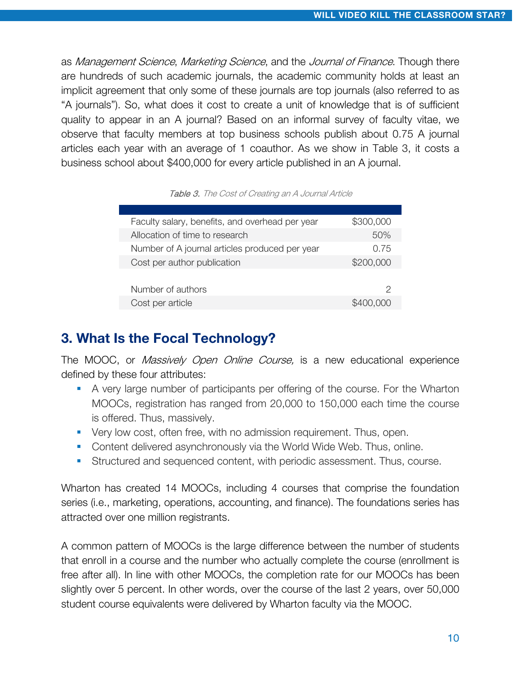as Management Science, Marketing Science, and the Journal of Finance. Though there are hundreds of such academic journals, the academic community holds at least an implicit agreement that only some of these journals are top journals (also referred to as "A journals"). So, what does it cost to create a unit of knowledge that is of sufficient quality to appear in an A journal? Based on an informal survey of faculty vitae, we observe that faculty members at top business schools publish about 0.75 A journal articles each year with an average of 1 coauthor. As we show in Table 3, it costs a business school about \$400,000 for every article published in an A journal.

| Table 3. The Cost of Creating an A Journal Article |
|----------------------------------------------------|
|                                                    |

| Faculty salary, benefits, and overhead per year | \$300,000 |
|-------------------------------------------------|-----------|
| Allocation of time to research                  | 50%       |
| Number of A journal articles produced per year  | 0.75      |
| Cost per author publication                     | \$200,000 |
|                                                 |           |
| Number of authors                               | 2         |
| Cost per article                                | 400.000   |
|                                                 |           |

# 3. What Is the Focal Technology?

The MOOC, or *Massively Open Online Course*, is a new educational experience defined by these four attributes:

- A very large number of participants per offering of the course. For the Wharton MOOCs, registration has ranged from 20,000 to 150,000 each time the course is offered. Thus, massively.
- Very low cost, often free, with no admission requirement. Thus, open.
- **Content delivered asynchronously via the World Wide Web. Thus, online.**
- Structured and sequenced content, with periodic assessment. Thus, course.

Wharton has created 14 MOOCs, including 4 courses that comprise the foundation series (i.e., marketing, operations, accounting, and finance). The foundations series has attracted over one million registrants.

A common pattern of MOOCs is the large difference between the number of students that enroll in a course and the number who actually complete the course (enrollment is free after all). In line with other MOOCs, the completion rate for our MOOCs has been slightly over 5 percent. In other words, over the course of the last 2 years, over 50,000 student course equivalents were delivered by Wharton faculty via the MOOC.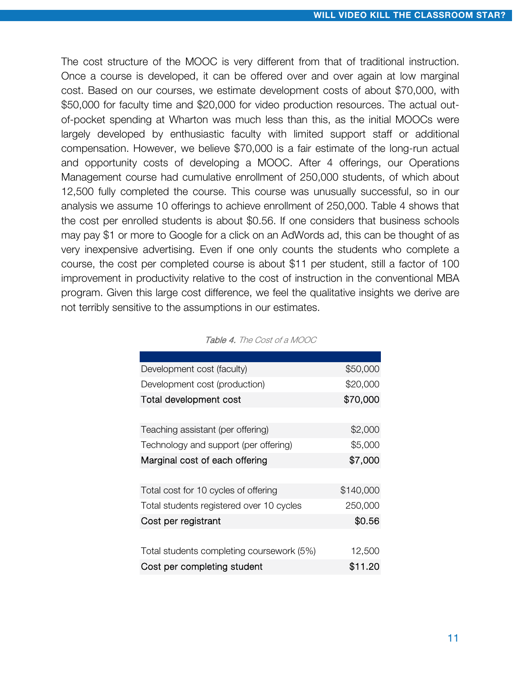The cost structure of the MOOC is very different from that of traditional instruction. Once a course is developed, it can be offered over and over again at low marginal cost. Based on our courses, we estimate development costs of about \$70,000, with \$50,000 for faculty time and \$20,000 for video production resources. The actual outof-pocket spending at Wharton was much less than this, as the initial MOOCs were largely developed by enthusiastic faculty with limited support staff or additional compensation. However, we believe \$70,000 is a fair estimate of the long-run actual and opportunity costs of developing a MOOC. After 4 offerings, our Operations Management course had cumulative enrollment of 250,000 students, of which about 12,500 fully completed the course. This course was unusually successful, so in our analysis we assume 10 offerings to achieve enrollment of 250,000. Table 4 shows that the cost per enrolled students is about \$0.56. If one considers that business schools may pay \$1 or more to Google for a click on an AdWords ad, this can be thought of as very inexpensive advertising. Even if one only counts the students who complete a course, the cost per completed course is about \$11 per student, still a factor of 100 improvement in productivity relative to the cost of instruction in the conventional MBA program. Given this large cost difference, we feel the qualitative insights we derive are not terribly sensitive to the assumptions in our estimates.

#### Table 4. The Cost of a MOOC

| Development cost (faculty)                | \$50,000  |
|-------------------------------------------|-----------|
| Development cost (production)             | \$20,000  |
| Total development cost                    | \$70,000  |
|                                           |           |
| Teaching assistant (per offering)         | \$2,000   |
| Technology and support (per offering)     | \$5,000   |
| Marginal cost of each offering            | \$7,000   |
|                                           |           |
| Total cost for 10 cycles of offering      | \$140,000 |
| Total students registered over 10 cycles  | 250,000   |
| Cost per registrant                       | \$0.56    |
|                                           |           |
| Total students completing coursework (5%) | 12,500    |
| Cost per completing student               | \$11.20   |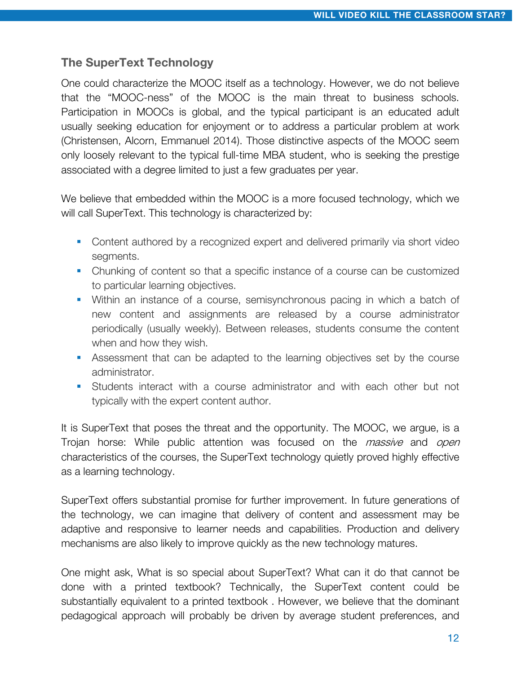#### The SuperText Technology

One could characterize the MOOC itself as a technology. However, we do not believe that the "MOOC-ness" of the MOOC is the main threat to business schools. Participation in MOOCs is global, and the typical participant is an educated adult usually seeking education for enjoyment or to address a particular problem at work (Christensen, Alcorn, Emmanuel 2014). Those distinctive aspects of the MOOC seem only loosely relevant to the typical full-time MBA student, who is seeking the prestige associated with a degree limited to just a few graduates per year.

We believe that embedded within the MOOC is a more focused technology, which we will call SuperText. This technology is characterized by:

- Content authored by a recognized expert and delivered primarily via short video segments.
- Chunking of content so that a specific instance of a course can be customized to particular learning objectives.
- Within an instance of a course, semisynchronous pacing in which a batch of new content and assignments are released by a course administrator periodically (usually weekly). Between releases, students consume the content when and how they wish.
- Assessment that can be adapted to the learning objectives set by the course administrator.
- Students interact with a course administrator and with each other but not typically with the expert content author.

It is SuperText that poses the threat and the opportunity. The MOOC, we argue, is a Trojan horse: While public attention was focused on the *massive* and *open* characteristics of the courses, the SuperText technology quietly proved highly effective as a learning technology.

SuperText offers substantial promise for further improvement. In future generations of the technology, we can imagine that delivery of content and assessment may be adaptive and responsive to learner needs and capabilities. Production and delivery mechanisms are also likely to improve quickly as the new technology matures.

One might ask, What is so special about SuperText? What can it do that cannot be done with a printed textbook? Technically, the SuperText content could be substantially equivalent to a printed textbook . However, we believe that the dominant pedagogical approach will probably be driven by average student preferences, and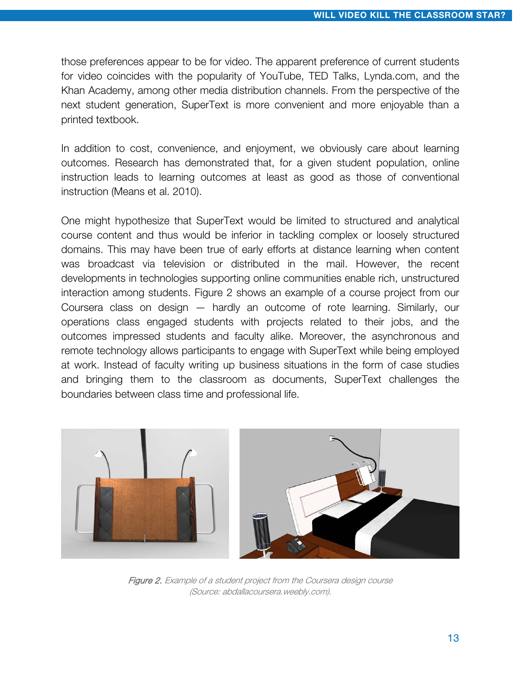those preferences appear to be for video. The apparent preference of current students for video coincides with the popularity of YouTube, TED Talks, Lynda.com, and the Khan Academy, among other media distribution channels. From the perspective of the next student generation, SuperText is more convenient and more enjoyable than a printed textbook.

In addition to cost, convenience, and enjoyment, we obviously care about learning outcomes. Research has demonstrated that, for a given student population, online instruction leads to learning outcomes at least as good as those of conventional instruction (Means et al. 2010).

One might hypothesize that SuperText would be limited to structured and analytical course content and thus would be inferior in tackling complex or loosely structured domains. This may have been true of early efforts at distance learning when content was broadcast via television or distributed in the mail. However, the recent developments in technologies supporting online communities enable rich, unstructured interaction among students. Figure 2 shows an example of a course project from our Coursera class on design — hardly an outcome of rote learning. Similarly, our operations class engaged students with projects related to their jobs, and the outcomes impressed students and faculty alike. Moreover, the asynchronous and remote technology allows participants to engage with SuperText while being employed at work. Instead of faculty writing up business situations in the form of case studies and bringing them to the classroom as documents, SuperText challenges the boundaries between class time and professional life.



Figure 2. Example of a student project from the Coursera design course (Source: abdallacoursera.weebly.com).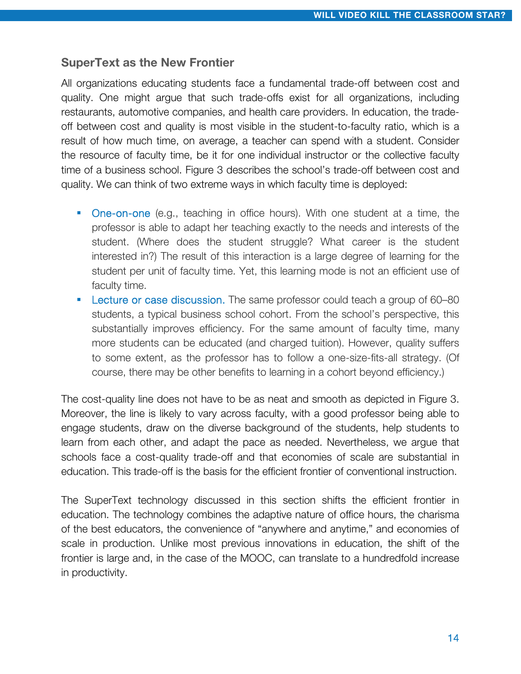#### SuperText as the New Frontier

All organizations educating students face a fundamental trade-off between cost and quality. One might argue that such trade-offs exist for all organizations, including restaurants, automotive companies, and health care providers. In education, the tradeoff between cost and quality is most visible in the student-to-faculty ratio, which is a result of how much time, on average, a teacher can spend with a student. Consider the resource of faculty time, be it for one individual instructor or the collective faculty time of a business school. Figure 3 describes the school's trade-off between cost and quality. We can think of two extreme ways in which faculty time is deployed:

- One-on-one (e.g., teaching in office hours). With one student at a time, the professor is able to adapt her teaching exactly to the needs and interests of the student. (Where does the student struggle? What career is the student interested in?) The result of this interaction is a large degree of learning for the student per unit of faculty time. Yet, this learning mode is not an efficient use of faculty time.
- **Lecture or case discussion.** The same professor could teach a group of 60–80 students, a typical business school cohort. From the school's perspective, this substantially improves efficiency. For the same amount of faculty time, many more students can be educated (and charged tuition). However, quality suffers to some extent, as the professor has to follow a one-size-fits-all strategy. (Of course, there may be other benefits to learning in a cohort beyond efficiency.)

The cost-quality line does not have to be as neat and smooth as depicted in Figure 3. Moreover, the line is likely to vary across faculty, with a good professor being able to engage students, draw on the diverse background of the students, help students to learn from each other, and adapt the pace as needed. Nevertheless, we argue that schools face a cost-quality trade-off and that economies of scale are substantial in education. This trade-off is the basis for the efficient frontier of conventional instruction.

The SuperText technology discussed in this section shifts the efficient frontier in education. The technology combines the adaptive nature of office hours, the charisma of the best educators, the convenience of "anywhere and anytime," and economies of scale in production. Unlike most previous innovations in education, the shift of the frontier is large and, in the case of the MOOC, can translate to a hundredfold increase in productivity.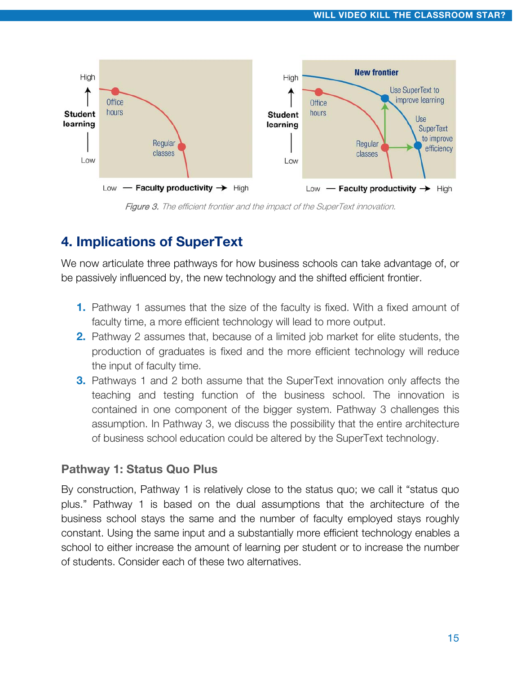

Figure 3. The efficient frontier and the impact of the SuperText innovation.

# 4. Implications of SuperText

We now articulate three pathways for how business schools can take advantage of, or be passively influenced by, the new technology and the shifted efficient frontier.

- 1. Pathway 1 assumes that the size of the faculty is fixed. With a fixed amount of faculty time, a more efficient technology will lead to more output.
- **2.** Pathway 2 assumes that, because of a limited job market for elite students, the production of graduates is fixed and the more efficient technology will reduce the input of faculty time.
- **3.** Pathways 1 and 2 both assume that the SuperText innovation only affects the teaching and testing function of the business school. The innovation is contained in one component of the bigger system. Pathway 3 challenges this assumption. In Pathway 3, we discuss the possibility that the entire architecture of business school education could be altered by the SuperText technology.

# Pathway 1: Status Quo Plus

By construction, Pathway 1 is relatively close to the status quo; we call it "status quo plus." Pathway 1 is based on the dual assumptions that the architecture of the business school stays the same and the number of faculty employed stays roughly constant. Using the same input and a substantially more efficient technology enables a school to either increase the amount of learning per student or to increase the number of students. Consider each of these two alternatives.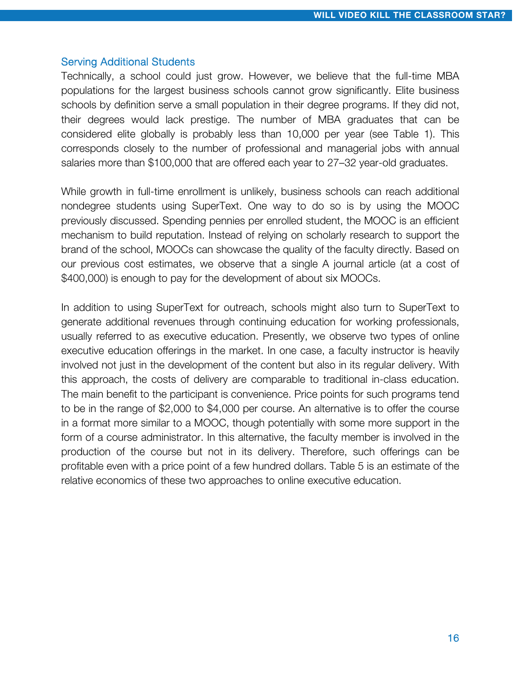#### Serving Additional Students

Technically, a school could just grow. However, we believe that the full-time MBA populations for the largest business schools cannot grow significantly. Elite business schools by definition serve a small population in their degree programs. If they did not, their degrees would lack prestige. The number of MBA graduates that can be considered elite globally is probably less than 10,000 per year (see Table 1). This corresponds closely to the number of professional and managerial jobs with annual salaries more than \$100,000 that are offered each year to 27–32 year-old graduates.

While growth in full-time enrollment is unlikely, business schools can reach additional nondegree students using SuperText. One way to do so is by using the MOOC previously discussed. Spending pennies per enrolled student, the MOOC is an efficient mechanism to build reputation. Instead of relying on scholarly research to support the brand of the school, MOOCs can showcase the quality of the faculty directly. Based on our previous cost estimates, we observe that a single A journal article (at a cost of \$400,000) is enough to pay for the development of about six MOOCs.

In addition to using SuperText for outreach, schools might also turn to SuperText to generate additional revenues through continuing education for working professionals, usually referred to as executive education. Presently, we observe two types of online executive education offerings in the market. In one case, a faculty instructor is heavily involved not just in the development of the content but also in its regular delivery. With this approach, the costs of delivery are comparable to traditional in-class education. The main benefit to the participant is convenience. Price points for such programs tend to be in the range of \$2,000 to \$4,000 per course. An alternative is to offer the course in a format more similar to a MOOC, though potentially with some more support in the form of a course administrator. In this alternative, the faculty member is involved in the production of the course but not in its delivery. Therefore, such offerings can be profitable even with a price point of a few hundred dollars. Table 5 is an estimate of the relative economics of these two approaches to online executive education.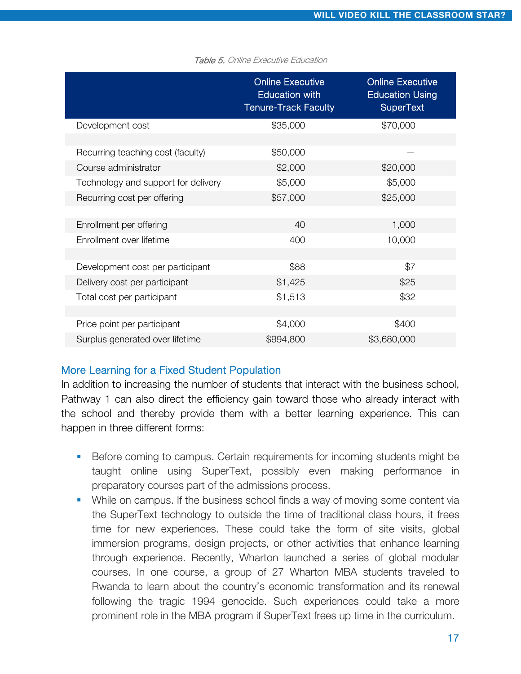|                                     | <b>Online Executive</b><br><b>Education with</b><br><b>Tenure-Track Faculty</b> | <b>Online Executive</b><br><b>Education Using</b><br><b>SuperText</b> |
|-------------------------------------|---------------------------------------------------------------------------------|-----------------------------------------------------------------------|
| Development cost                    | \$35,000                                                                        | \$70,000                                                              |
|                                     |                                                                                 |                                                                       |
| Recurring teaching cost (faculty)   | \$50,000                                                                        |                                                                       |
| Course administrator                | \$2,000                                                                         | \$20,000                                                              |
| Technology and support for delivery | \$5,000                                                                         | \$5,000                                                               |
| Recurring cost per offering         | \$57,000                                                                        | \$25,000                                                              |
|                                     |                                                                                 |                                                                       |
| Enrollment per offering             | 40                                                                              | 1,000                                                                 |
| Enrollment over lifetime            | 400                                                                             | 10,000                                                                |
|                                     |                                                                                 |                                                                       |
| Development cost per participant    | \$88                                                                            | \$7                                                                   |
| Delivery cost per participant       | \$1,425                                                                         | \$25                                                                  |
| Total cost per participant          | \$1,513                                                                         | \$32                                                                  |
|                                     |                                                                                 |                                                                       |
| Price point per participant         | \$4,000                                                                         | \$400                                                                 |
| Surplus generated over lifetime     | \$994,800                                                                       | \$3,680,000                                                           |

Table 5. Online Executive Education

#### More Learning for a Fixed Student Population

In addition to increasing the number of students that interact with the business school, Pathway 1 can also direct the efficiency gain toward those who already interact with the school and thereby provide them with a better learning experience. This can happen in three different forms:

- Before coming to campus. Certain requirements for incoming students might be taught online using SuperText, possibly even making performance in preparatory courses part of the admissions process.
- While on campus. If the business school finds a way of moving some content via the SuperText technology to outside the time of traditional class hours, it frees time for new experiences. These could take the form of site visits, global immersion programs, design projects, or other activities that enhance learning through experience. Recently, Wharton launched a series of global modular courses. In one course, a group of 27 Wharton MBA students traveled to Rwanda to learn about the country's economic transformation and its renewal following the tragic 1994 genocide. Such experiences could take a more prominent role in the MBA program if SuperText frees up time in the curriculum.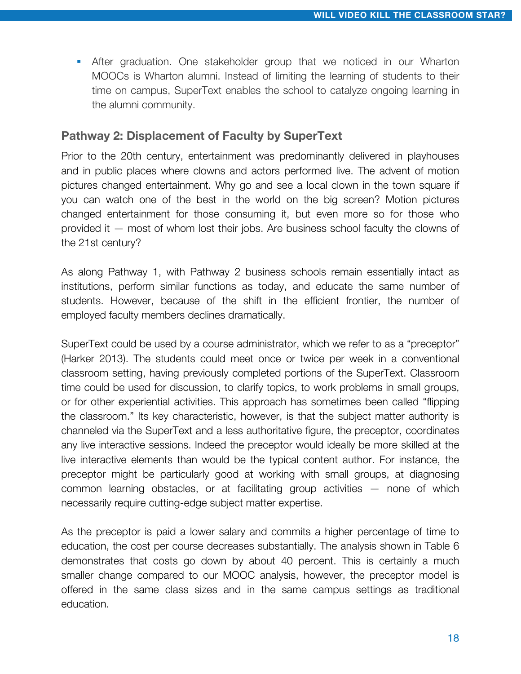After graduation. One stakeholder group that we noticed in our Wharton MOOCs is Wharton alumni. Instead of limiting the learning of students to their time on campus, SuperText enables the school to catalyze ongoing learning in the alumni community.

## Pathway 2: Displacement of Faculty by SuperText

Prior to the 20th century, entertainment was predominantly delivered in playhouses and in public places where clowns and actors performed live. The advent of motion pictures changed entertainment. Why go and see a local clown in the town square if you can watch one of the best in the world on the big screen? Motion pictures changed entertainment for those consuming it, but even more so for those who provided it — most of whom lost their jobs. Are business school faculty the clowns of the 21st century?

As along Pathway 1, with Pathway 2 business schools remain essentially intact as institutions, perform similar functions as today, and educate the same number of students. However, because of the shift in the efficient frontier, the number of employed faculty members declines dramatically.

SuperText could be used by a course administrator, which we refer to as a "preceptor" (Harker 2013). The students could meet once or twice per week in a conventional classroom setting, having previously completed portions of the SuperText. Classroom time could be used for discussion, to clarify topics, to work problems in small groups, or for other experiential activities. This approach has sometimes been called "flipping the classroom." Its key characteristic, however, is that the subject matter authority is channeled via the SuperText and a less authoritative figure, the preceptor, coordinates any live interactive sessions. Indeed the preceptor would ideally be more skilled at the live interactive elements than would be the typical content author. For instance, the preceptor might be particularly good at working with small groups, at diagnosing common learning obstacles, or at facilitating group activities — none of which necessarily require cutting-edge subject matter expertise.

As the preceptor is paid a lower salary and commits a higher percentage of time to education, the cost per course decreases substantially. The analysis shown in Table 6 demonstrates that costs go down by about 40 percent. This is certainly a much smaller change compared to our MOOC analysis, however, the preceptor model is offered in the same class sizes and in the same campus settings as traditional education.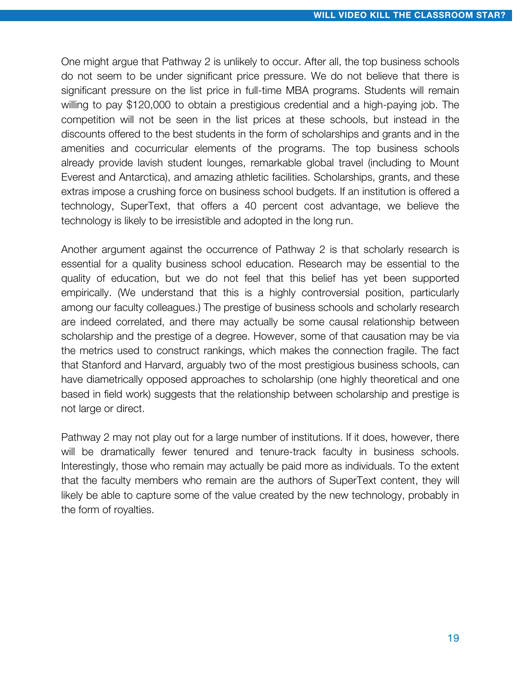One might argue that Pathway 2 is unlikely to occur. After all, the top business schools do not seem to be under significant price pressure. We do not believe that there is significant pressure on the list price in full-time MBA programs. Students will remain willing to pay \$120,000 to obtain a prestigious credential and a high-paying job. The competition will not be seen in the list prices at these schools, but instead in the discounts offered to the best students in the form of scholarships and grants and in the amenities and cocurricular elements of the programs. The top business schools already provide lavish student lounges, remarkable global travel (including to Mount Everest and Antarctica), and amazing athletic facilities. Scholarships, grants, and these extras impose a crushing force on business school budgets. If an institution is offered a technology, SuperText, that offers a 40 percent cost advantage, we believe the technology is likely to be irresistible and adopted in the long run.

Another argument against the occurrence of Pathway 2 is that scholarly research is essential for a quality business school education. Research may be essential to the quality of education, but we do not feel that this belief has yet been supported empirically. (We understand that this is a highly controversial position, particularly among our faculty colleagues.) The prestige of business schools and scholarly research are indeed correlated, and there may actually be some causal relationship between scholarship and the prestige of a degree. However, some of that causation may be via the metrics used to construct rankings, which makes the connection fragile. The fact that Stanford and Harvard, arguably two of the most prestigious business schools, can have diametrically opposed approaches to scholarship (one highly theoretical and one based in field work) suggests that the relationship between scholarship and prestige is not large or direct.

Pathway 2 may not play out for a large number of institutions. If it does, however, there will be dramatically fewer tenured and tenure-track faculty in business schools. Interestingly, those who remain may actually be paid more as individuals. To the extent that the faculty members who remain are the authors of SuperText content, they will likely be able to capture some of the value created by the new technology, probably in the form of royalties.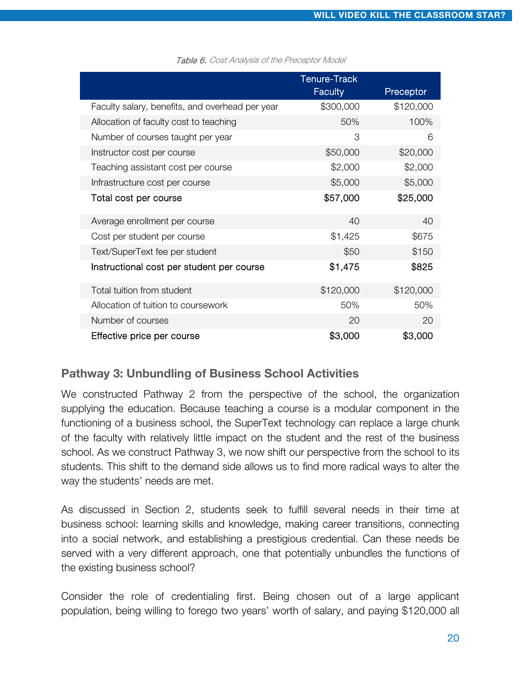|                                                 | Tenure-Track   |           |
|-------------------------------------------------|----------------|-----------|
|                                                 | <b>Faculty</b> | Preceptor |
| Faculty salary, benefits, and overhead per year | \$300,000      | \$120,000 |
| Allocation of faculty cost to teaching          | 50%            | 100%      |
| Number of courses taught per year               | 3              | 6         |
| Instructor cost per course                      | \$50,000       | \$20,000  |
| Teaching assistant cost per course              | \$2,000        | \$2,000   |
| Infrastructure cost per course                  | \$5,000        | \$5,000   |
| Total cost per course                           | \$57,000       | \$25,000  |
| Average enrollment per course                   | 40             | 40        |
| Cost per student per course                     | \$1,425        | \$675     |
| Text/SuperText fee per student                  | \$50           | \$150     |
| Instructional cost per student per course       | \$1,475        | \$825     |
| Total tuition from student                      | \$120,000      | \$120,000 |
| Allocation of tuition to coursework             | 50%            | 50%       |
| Number of courses                               | 20             | 20        |
| Effective price per course                      | \$3,000        | \$3,000   |

Table 6. Cost Analysis of the Preceptor Model

## Pathway 3: Unbundling of Business School Activities

We constructed Pathway 2 from the perspective of the school, the organization supplying the education. Because teaching a course is a modular component in the functioning of a business school, the SuperText technology can replace a large chunk of the faculty with relatively little impact on the student and the rest of the business school. As we construct Pathway 3, we now shift our perspective from the school to its students. This shift to the demand side allows us to find more radical ways to alter the way the students' needs are met.

As discussed in Section 2, students seek to fulfill several needs in their time at business school: learning skills and knowledge, making career transitions, connecting into a social network, and establishing a prestigious credential. Can these needs be served with a very different approach, one that potentially unbundles the functions of the existing business school?

Consider the role of credentialing first. Being chosen out of a large applicant population, being willing to forego two years' worth of salary, and paying \$120,000 all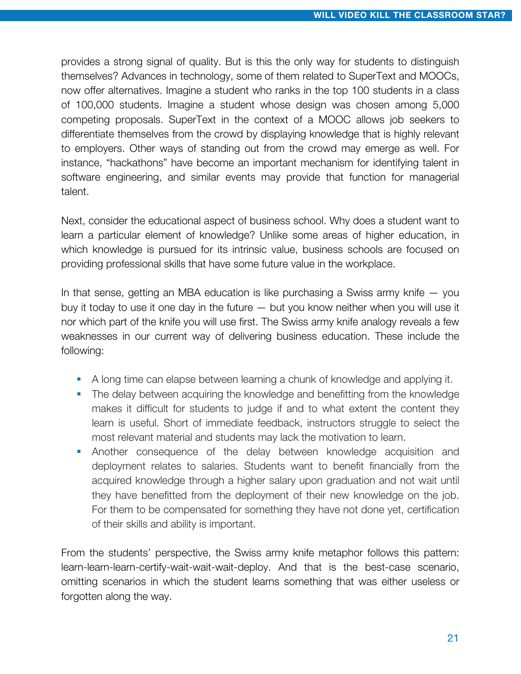provides a strong signal of quality. But is this the only way for students to distinguish themselves? Advances in technology, some of them related to SuperText and MOOCs, now offer alternatives. Imagine a student who ranks in the top 100 students in a class of 100,000 students. Imagine a student whose design was chosen among 5,000 competing proposals. SuperText in the context of a MOOC allows job seekers to differentiate themselves from the crowd by displaying knowledge that is highly relevant to employers. Other ways of standing out from the crowd may emerge as well. For instance, "hackathons" have become an important mechanism for identifying talent in software engineering, and similar events may provide that function for managerial talent.

Next, consider the educational aspect of business school. Why does a student want to learn a particular element of knowledge? Unlike some areas of higher education, in which knowledge is pursued for its intrinsic value, business schools are focused on providing professional skills that have some future value in the workplace.

In that sense, getting an MBA education is like purchasing a Swiss army knife — you buy it today to use it one day in the future — but you know neither when you will use it nor which part of the knife you will use first. The Swiss army knife analogy reveals a few weaknesses in our current way of delivering business education. These include the following:

- A long time can elapse between learning a chunk of knowledge and applying it.
- The delay between acquiring the knowledge and benefitting from the knowledge makes it difficult for students to judge if and to what extent the content they learn is useful. Short of immediate feedback, instructors struggle to select the most relevant material and students may lack the motivation to learn.
- Another consequence of the delay between knowledge acquisition and deployment relates to salaries. Students want to benefit financially from the acquired knowledge through a higher salary upon graduation and not wait until they have benefitted from the deployment of their new knowledge on the job. For them to be compensated for something they have not done yet, certification of their skills and ability is important.

From the students' perspective, the Swiss army knife metaphor follows this pattern: learn-learn-learn-certify-wait-wait-wait-deploy. And that is the best-case scenario, omitting scenarios in which the student learns something that was either useless or forgotten along the way.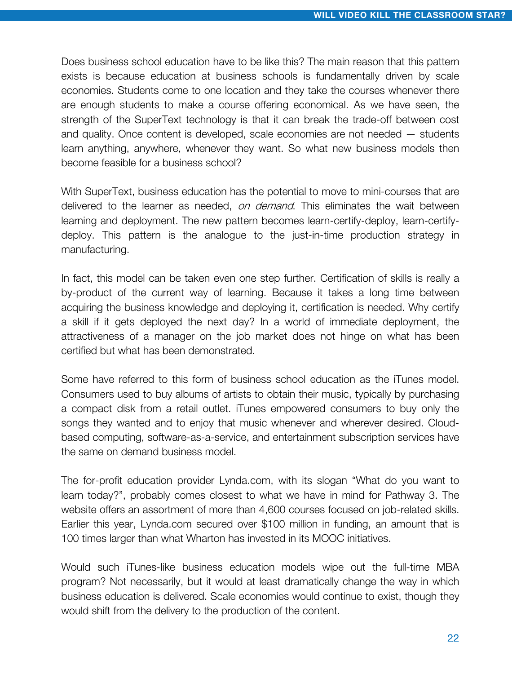Does business school education have to be like this? The main reason that this pattern exists is because education at business schools is fundamentally driven by scale economies. Students come to one location and they take the courses whenever there are enough students to make a course offering economical. As we have seen, the strength of the SuperText technology is that it can break the trade-off between cost and quality. Once content is developed, scale economies are not needed — students learn anything, anywhere, whenever they want. So what new business models then become feasible for a business school?

With SuperText, business education has the potential to move to mini-courses that are delivered to the learner as needed, on demand. This eliminates the wait between learning and deployment. The new pattern becomes learn-certify-deploy, learn-certifydeploy. This pattern is the analogue to the just-in-time production strategy in manufacturing.

In fact, this model can be taken even one step further. Certification of skills is really a by-product of the current way of learning. Because it takes a long time between acquiring the business knowledge and deploying it, certification is needed. Why certify a skill if it gets deployed the next day? In a world of immediate deployment, the attractiveness of a manager on the job market does not hinge on what has been certified but what has been demonstrated.

Some have referred to this form of business school education as the iTunes model. Consumers used to buy albums of artists to obtain their music, typically by purchasing a compact disk from a retail outlet. iTunes empowered consumers to buy only the songs they wanted and to enjoy that music whenever and wherever desired. Cloudbased computing, software-as-a-service, and entertainment subscription services have the same on demand business model.

The for-profit education provider Lynda.com, with its slogan "What do you want to learn today?", probably comes closest to what we have in mind for Pathway 3. The website offers an assortment of more than 4,600 courses focused on job-related skills. Earlier this year, Lynda.com secured over \$100 million in funding, an amount that is 100 times larger than what Wharton has invested in its MOOC initiatives.

Would such iTunes-like business education models wipe out the full-time MBA program? Not necessarily, but it would at least dramatically change the way in which business education is delivered. Scale economies would continue to exist, though they would shift from the delivery to the production of the content.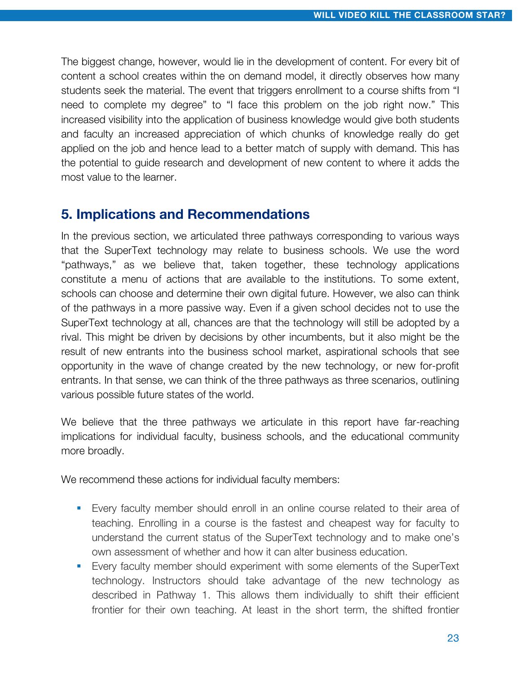The biggest change, however, would lie in the development of content. For every bit of content a school creates within the on demand model, it directly observes how many students seek the material. The event that triggers enrollment to a course shifts from "I need to complete my degree" to "I face this problem on the job right now." This increased visibility into the application of business knowledge would give both students and faculty an increased appreciation of which chunks of knowledge really do get applied on the job and hence lead to a better match of supply with demand. This has the potential to guide research and development of new content to where it adds the most value to the learner.

# 5. Implications and Recommendations

In the previous section, we articulated three pathways corresponding to various ways that the SuperText technology may relate to business schools. We use the word "pathways," as we believe that, taken together, these technology applications constitute a menu of actions that are available to the institutions. To some extent, schools can choose and determine their own digital future. However, we also can think of the pathways in a more passive way. Even if a given school decides not to use the SuperText technology at all, chances are that the technology will still be adopted by a rival. This might be driven by decisions by other incumbents, but it also might be the result of new entrants into the business school market, aspirational schools that see opportunity in the wave of change created by the new technology, or new for-profit entrants. In that sense, we can think of the three pathways as three scenarios, outlining various possible future states of the world.

We believe that the three pathways we articulate in this report have far-reaching implications for individual faculty, business schools, and the educational community more broadly.

We recommend these actions for individual faculty members:

- Every faculty member should enroll in an online course related to their area of teaching. Enrolling in a course is the fastest and cheapest way for faculty to understand the current status of the SuperText technology and to make one's own assessment of whether and how it can alter business education.
- Every faculty member should experiment with some elements of the SuperText technology. Instructors should take advantage of the new technology as described in Pathway 1. This allows them individually to shift their efficient frontier for their own teaching. At least in the short term, the shifted frontier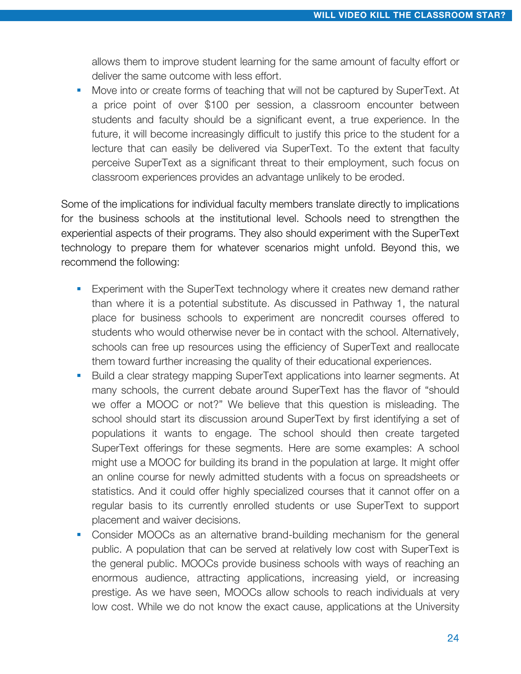allows them to improve student learning for the same amount of faculty effort or deliver the same outcome with less effort.

 Move into or create forms of teaching that will not be captured by SuperText. At a price point of over \$100 per session, a classroom encounter between students and faculty should be a significant event, a true experience. In the future, it will become increasingly difficult to justify this price to the student for a lecture that can easily be delivered via SuperText. To the extent that faculty perceive SuperText as a significant threat to their employment, such focus on classroom experiences provides an advantage unlikely to be eroded.

Some of the implications for individual faculty members translate directly to implications for the business schools at the institutional level. Schools need to strengthen the experiential aspects of their programs. They also should experiment with the SuperText technology to prepare them for whatever scenarios might unfold. Beyond this, we recommend the following:

- **Experiment with the SuperText technology where it creates new demand rather** than where it is a potential substitute. As discussed in Pathway 1, the natural place for business schools to experiment are noncredit courses offered to students who would otherwise never be in contact with the school. Alternatively, schools can free up resources using the efficiency of SuperText and reallocate them toward further increasing the quality of their educational experiences.
- **Build a clear strategy mapping SuperText applications into learner segments. At** many schools, the current debate around SuperText has the flavor of "should we offer a MOOC or not?" We believe that this question is misleading. The school should start its discussion around SuperText by first identifying a set of populations it wants to engage. The school should then create targeted SuperText offerings for these segments. Here are some examples: A school might use a MOOC for building its brand in the population at large. It might offer an online course for newly admitted students with a focus on spreadsheets or statistics. And it could offer highly specialized courses that it cannot offer on a regular basis to its currently enrolled students or use SuperText to support placement and waiver decisions.
- Consider MOOCs as an alternative brand-building mechanism for the general public. A population that can be served at relatively low cost with SuperText is the general public. MOOCs provide business schools with ways of reaching an enormous audience, attracting applications, increasing yield, or increasing prestige. As we have seen, MOOCs allow schools to reach individuals at very low cost. While we do not know the exact cause, applications at the University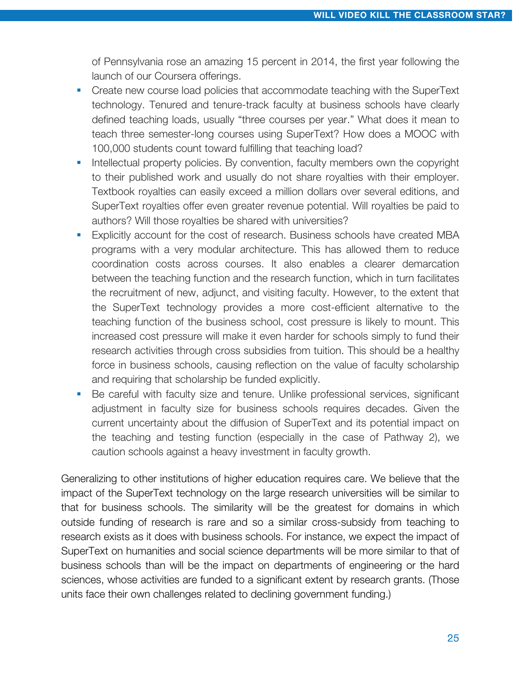of Pennsylvania rose an amazing 15 percent in 2014, the first year following the launch of our Coursera offerings.

- Create new course load policies that accommodate teaching with the SuperText technology. Tenured and tenure-track faculty at business schools have clearly defined teaching loads, usually "three courses per year." What does it mean to teach three semester-long courses using SuperText? How does a MOOC with 100,000 students count toward fulfilling that teaching load?
- Intellectual property policies. By convention, faculty members own the copyright to their published work and usually do not share royalties with their employer. Textbook royalties can easily exceed a million dollars over several editions, and SuperText royalties offer even greater revenue potential. Will royalties be paid to authors? Will those royalties be shared with universities?
- Explicitly account for the cost of research. Business schools have created MBA programs with a very modular architecture. This has allowed them to reduce coordination costs across courses. It also enables a clearer demarcation between the teaching function and the research function, which in turn facilitates the recruitment of new, adjunct, and visiting faculty. However, to the extent that the SuperText technology provides a more cost-efficient alternative to the teaching function of the business school, cost pressure is likely to mount. This increased cost pressure will make it even harder for schools simply to fund their research activities through cross subsidies from tuition. This should be a healthy force in business schools, causing reflection on the value of faculty scholarship and requiring that scholarship be funded explicitly.
- Be careful with faculty size and tenure. Unlike professional services, significant adjustment in faculty size for business schools requires decades. Given the current uncertainty about the diffusion of SuperText and its potential impact on the teaching and testing function (especially in the case of Pathway 2), we caution schools against a heavy investment in faculty growth.

Generalizing to other institutions of higher education requires care. We believe that the impact of the SuperText technology on the large research universities will be similar to that for business schools. The similarity will be the greatest for domains in which outside funding of research is rare and so a similar cross-subsidy from teaching to research exists as it does with business schools. For instance, we expect the impact of SuperText on humanities and social science departments will be more similar to that of business schools than will be the impact on departments of engineering or the hard sciences, whose activities are funded to a significant extent by research grants. (Those units face their own challenges related to declining government funding.)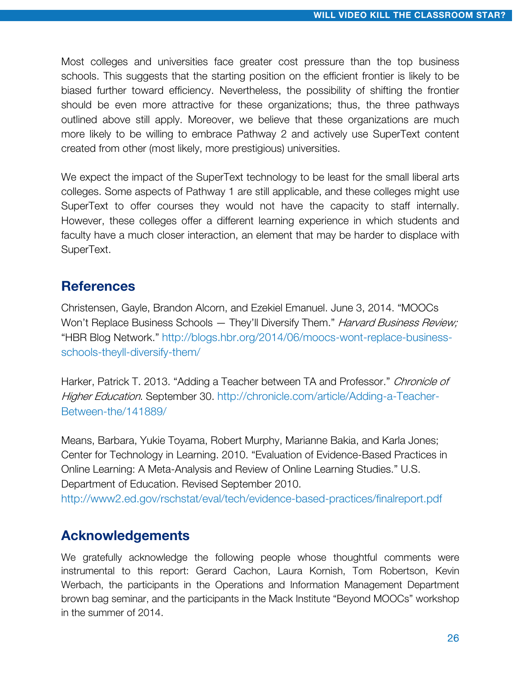Most colleges and universities face greater cost pressure than the top business schools. This suggests that the starting position on the efficient frontier is likely to be biased further toward efficiency. Nevertheless, the possibility of shifting the frontier should be even more attractive for these organizations; thus, the three pathways outlined above still apply. Moreover, we believe that these organizations are much more likely to be willing to embrace Pathway 2 and actively use SuperText content created from other (most likely, more prestigious) universities.

We expect the impact of the SuperText technology to be least for the small liberal arts colleges. Some aspects of Pathway 1 are still applicable, and these colleges might use SuperText to offer courses they would not have the capacity to staff internally. However, these colleges offer a different learning experience in which students and faculty have a much closer interaction, an element that may be harder to displace with SuperText.

# **References**

Christensen, Gayle, Brandon Alcorn, and Ezekiel Emanuel. June 3, 2014. "MOOCs Won't Replace Business Schools — They'll Diversify Them." Harvard Business Review; "HBR Blog Network." http://blogs.hbr.org/2014/06/moocs-wont-replace-businessschools-theyll-diversify-them/

Harker, Patrick T. 2013. "Adding a Teacher between TA and Professor." Chronicle of Higher Education. September 30. http://chronicle.com/article/Adding-a-Teacher-Between-the/141889/

Means, Barbara, Yukie Toyama, Robert Murphy, Marianne Bakia, and Karla Jones; Center for Technology in Learning. 2010. "Evaluation of Evidence-Based Practices in Online Learning: A Meta-Analysis and Review of Online Learning Studies." U.S. Department of Education. Revised September 2010. http://www2.ed.gov/rschstat/eval/tech/evidence-based-practices/finalreport.pdf

# Acknowledgements

We gratefully acknowledge the following people whose thoughtful comments were instrumental to this report: Gerard Cachon, Laura Kornish, Tom Robertson, Kevin Werbach, the participants in the Operations and Information Management Department brown bag seminar, and the participants in the Mack Institute "Beyond MOOCs" workshop in the summer of 2014.